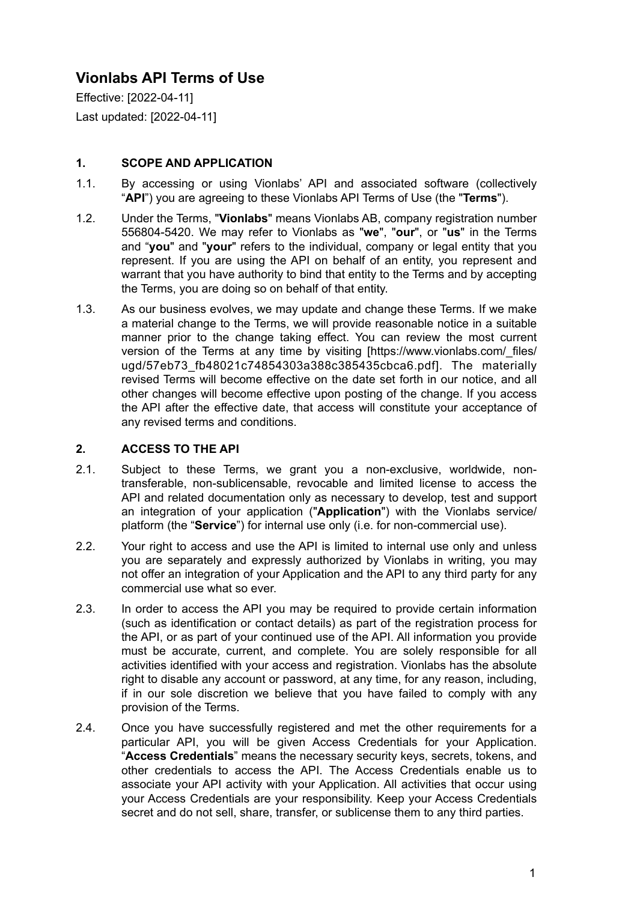# **Vionlabs API Terms of Use**

Effective: [2022-04-11] Last updated: [2022-04-11]

# **1. SCOPE AND APPLICATION**

- 1.1. By accessing or using Vionlabs' API and associated software (collectively "**API**") you are agreeing to these Vionlabs API Terms of Use (the "**Terms**").
- 1.2. Under the Terms, "**Vionlabs**" means Vionlabs AB, company registration number 556804-5420. We may refer to Vionlabs as "**we**", "**our**", or "**us**" in the Terms and "**you**" and "**your**" refers to the individual, company or legal entity that you represent. If you are using the API on behalf of an entity, you represent and warrant that you have authority to bind that entity to the Terms and by accepting the Terms, you are doing so on behalf of that entity.
- 1.3. As our business evolves, we may update and change these Terms. If we make a material change to the Terms, we will provide reasonable notice in a suitable manner prior to the change taking effect. You can review the most current version of the Terms at any time by visiting [https://www.vionlabs.com/\_files/ ugd/57eb73\_fb48021c74854303a388c385435cbca6.pdf]. The materially revised Terms will become effective on the date set forth in our notice, and all other changes will become effective upon posting of the change. If you access the API after the effective date, that access will constitute your acceptance of any revised terms and conditions.

# **2. ACCESS TO THE API**

- 2.1. Subject to these Terms, we grant you a non-exclusive, worldwide, nontransferable, non-sublicensable, revocable and limited license to access the API and related documentation only as necessary to develop, test and support an integration of your application ("**Application**") with the Vionlabs service/ platform (the "**Service**") for internal use only (i.e. for non-commercial use).
- 2.2. Your right to access and use the API is limited to internal use only and unless you are separately and expressly authorized by Vionlabs in writing, you may not offer an integration of your Application and the API to any third party for any commercial use what so ever.
- 2.3. In order to access the API you may be required to provide certain information (such as identification or contact details) as part of the registration process for the API, or as part of your continued use of the API. All information you provide must be accurate, current, and complete. You are solely responsible for all activities identified with your access and registration. Vionlabs has the absolute right to disable any account or password, at any time, for any reason, including, if in our sole discretion we believe that you have failed to comply with any provision of the Terms.
- 2.4. Once you have successfully registered and met the other requirements for a particular API, you will be given Access Credentials for your Application. "**Access Credentials**" means the necessary security keys, secrets, tokens, and other credentials to access the API. The Access Credentials enable us to associate your API activity with your Application. All activities that occur using your Access Credentials are your responsibility. Keep your Access Credentials secret and do not sell, share, transfer, or sublicense them to any third parties.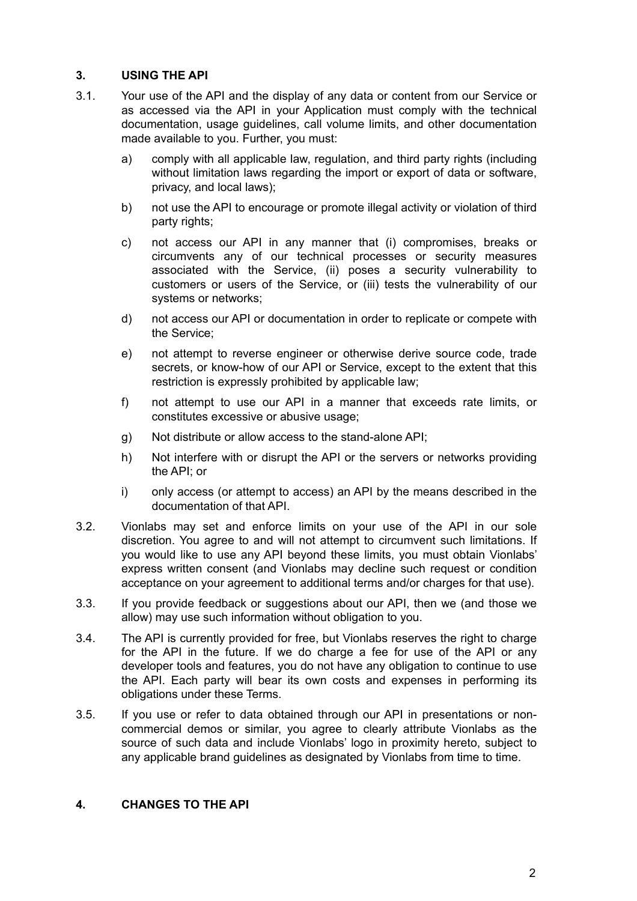## **3. USING THE API**

- 3.1. Your use of the API and the display of any data or content from our Service or as accessed via the API in your Application must comply with the technical documentation, usage guidelines, call volume limits, and other documentation made available to you. Further, you must:
	- a) comply with all applicable law, regulation, and third party rights (including without limitation laws regarding the import or export of data or software, privacy, and local laws);
	- b) not use the API to encourage or promote illegal activity or violation of third party rights:
	- c) not access our API in any manner that (i) compromises, breaks or circumvents any of our technical processes or security measures associated with the Service, (ii) poses a security vulnerability to customers or users of the Service, or (iii) tests the vulnerability of our systems or networks;
	- d) not access our API or documentation in order to replicate or compete with the Service;
	- e) not attempt to reverse engineer or otherwise derive source code, trade secrets, or know-how of our API or Service, except to the extent that this restriction is expressly prohibited by applicable law;
	- f) not attempt to use our API in a manner that exceeds rate limits, or constitutes excessive or abusive usage;
	- g) Not distribute or allow access to the stand-alone API;
	- h) Not interfere with or disrupt the API or the servers or networks providing the API; or
	- i) only access (or attempt to access) an API by the means described in the documentation of that API.
- 3.2. Vionlabs may set and enforce limits on your use of the API in our sole discretion. You agree to and will not attempt to circumvent such limitations. If you would like to use any API beyond these limits, you must obtain Vionlabs' express written consent (and Vionlabs may decline such request or condition acceptance on your agreement to additional terms and/or charges for that use).
- 3.3. If you provide feedback or suggestions about our API, then we (and those we allow) may use such information without obligation to you.
- 3.4. The API is currently provided for free, but Vionlabs reserves the right to charge for the API in the future. If we do charge a fee for use of the API or any developer tools and features, you do not have any obligation to continue to use the API. Each party will bear its own costs and expenses in performing its obligations under these Terms.
- 3.5. If you use or refer to data obtained through our API in presentations or noncommercial demos or similar, you agree to clearly attribute Vionlabs as the source of such data and include Vionlabs' logo in proximity hereto, subject to any applicable brand guidelines as designated by Vionlabs from time to time.

## **4. CHANGES TO THE API**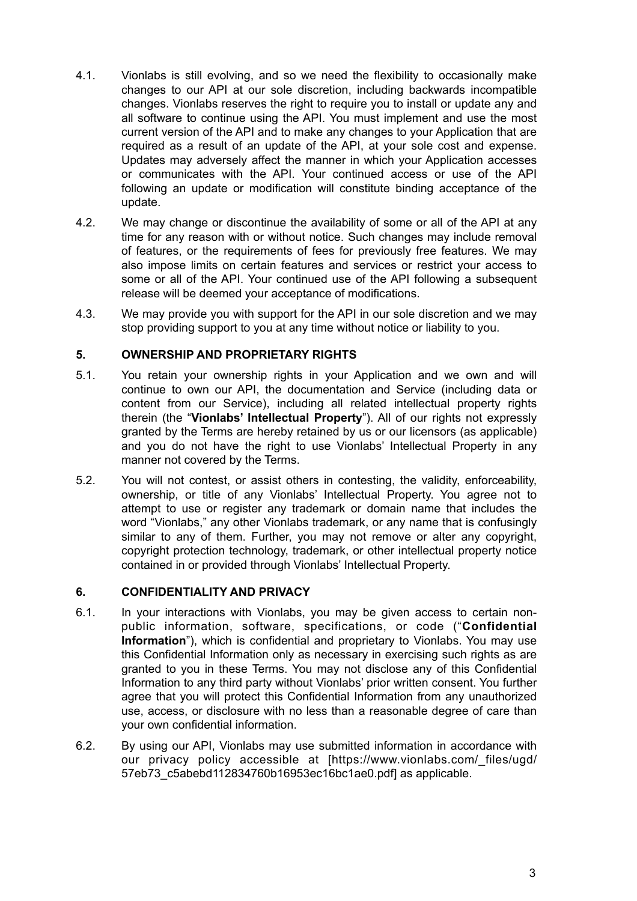- 4.1. Vionlabs is still evolving, and so we need the flexibility to occasionally make changes to our API at our sole discretion, including backwards incompatible changes. Vionlabs reserves the right to require you to install or update any and all software to continue using the API. You must implement and use the most current version of the API and to make any changes to your Application that are required as a result of an update of the API, at your sole cost and expense. Updates may adversely affect the manner in which your Application accesses or communicates with the API. Your continued access or use of the API following an update or modification will constitute binding acceptance of the update.
- 4.2. We may change or discontinue the availability of some or all of the API at any time for any reason with or without notice. Such changes may include removal of features, or the requirements of fees for previously free features. We may also impose limits on certain features and services or restrict your access to some or all of the API. Your continued use of the API following a subsequent release will be deemed your acceptance of modifications.
- 4.3. We may provide you with support for the API in our sole discretion and we may stop providing support to you at any time without notice or liability to you.

## **5. OWNERSHIP AND PROPRIETARY RIGHTS**

- 5.1. You retain your ownership rights in your Application and we own and will continue to own our API, the documentation and Service (including data or content from our Service), including all related intellectual property rights therein (the "**Vionlabs' Intellectual Property**"). All of our rights not expressly granted by the Terms are hereby retained by us or our licensors (as applicable) and you do not have the right to use Vionlabs' Intellectual Property in any manner not covered by the Terms.
- 5.2. You will not contest, or assist others in contesting, the validity, enforceability, ownership, or title of any Vionlabs' Intellectual Property. You agree not to attempt to use or register any trademark or domain name that includes the word "Vionlabs," any other Vionlabs trademark, or any name that is confusingly similar to any of them. Further, you may not remove or alter any copyright, copyright protection technology, trademark, or other intellectual property notice contained in or provided through Vionlabs' Intellectual Property.

#### **6. CONFIDENTIALITY AND PRIVACY**

- 6.1. In your interactions with Vionlabs, you may be given access to certain nonpublic information, software, specifications, or code ("**Confidential Information**"), which is confidential and proprietary to Vionlabs. You may use this Confidential Information only as necessary in exercising such rights as are granted to you in these Terms. You may not disclose any of this Confidential Information to any third party without Vionlabs' prior written consent. You further agree that you will protect this Confidential Information from any unauthorized use, access, or disclosure with no less than a reasonable degree of care than your own confidential information.
- 6.2. By using our API, Vionlabs may use submitted information in accordance with our privacy policy accessible at [https://www.vionlabs.com/\_files/ugd/ 57eb73\_c5abebd112834760b16953ec16bc1ae0.pdf] as applicable.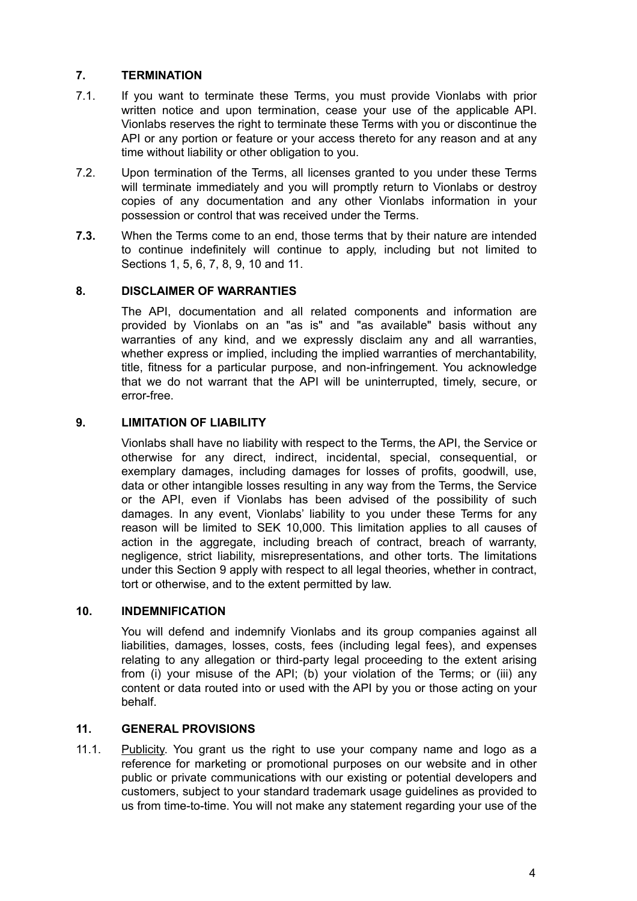## **7. TERMINATION**

- 7.1. If you want to terminate these Terms, you must provide Vionlabs with prior written notice and upon termination, cease your use of the applicable API. Vionlabs reserves the right to terminate these Terms with you or discontinue the API or any portion or feature or your access thereto for any reason and at any time without liability or other obligation to you.
- 7.2. Upon termination of the Terms, all licenses granted to you under these Terms will terminate immediately and you will promptly return to Vionlabs or destroy copies of any documentation and any other Vionlabs information in your possession or control that was received under the Terms.
- **7.3.** When the Terms come to an end, those terms that by their nature are intended to continue indefinitely will continue to apply, including but not limited to Sections 1, 5, 6, 7, 8, 9, 10 and 11.

## **8. DISCLAIMER OF WARRANTIES**

The API, documentation and all related components and information are provided by Vionlabs on an "as is" and "as available" basis without any warranties of any kind, and we expressly disclaim any and all warranties, whether express or implied, including the implied warranties of merchantability, title, fitness for a particular purpose, and non-infringement. You acknowledge that we do not warrant that the API will be uninterrupted, timely, secure, or error-free.

## **9. LIMITATION OF LIABILITY**

Vionlabs shall have no liability with respect to the Terms, the API, the Service or otherwise for any direct, indirect, incidental, special, consequential, or exemplary damages, including damages for losses of profits, goodwill, use, data or other intangible losses resulting in any way from the Terms, the Service or the API, even if Vionlabs has been advised of the possibility of such damages. In any event, Vionlabs' liability to you under these Terms for any reason will be limited to SEK 10,000. This limitation applies to all causes of action in the aggregate, including breach of contract, breach of warranty, negligence, strict liability, misrepresentations, and other torts. The limitations under this Section 9 apply with respect to all legal theories, whether in contract, tort or otherwise, and to the extent permitted by law.

#### **10. INDEMNIFICATION**

You will defend and indemnify Vionlabs and its group companies against all liabilities, damages, losses, costs, fees (including legal fees), and expenses relating to any allegation or third-party legal proceeding to the extent arising from (i) your misuse of the API; (b) your violation of the Terms; or (iii) any content or data routed into or used with the API by you or those acting on your behalf.

#### **11. GENERAL PROVISIONS**

11.1. Publicity. You grant us the right to use your company name and logo as a reference for marketing or promotional purposes on our website and in other public or private communications with our existing or potential developers and customers, subject to your standard trademark usage guidelines as provided to us from time-to-time. You will not make any statement regarding your use of the